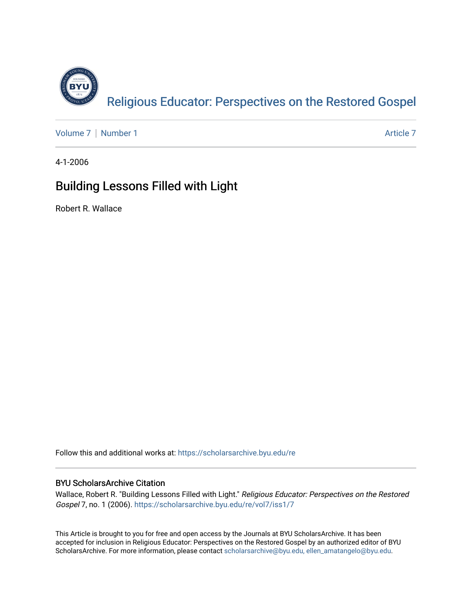

[Volume 7](https://scholarsarchive.byu.edu/re/vol7) | [Number 1](https://scholarsarchive.byu.edu/re/vol7/iss1) Article 7

4-1-2006

# Building Lessons Filled with Light

Robert R. Wallace

Follow this and additional works at: [https://scholarsarchive.byu.edu/re](https://scholarsarchive.byu.edu/re?utm_source=scholarsarchive.byu.edu%2Fre%2Fvol7%2Fiss1%2F7&utm_medium=PDF&utm_campaign=PDFCoverPages)

## BYU ScholarsArchive Citation

Wallace, Robert R. "Building Lessons Filled with Light." Religious Educator: Perspectives on the Restored Gospel 7, no. 1 (2006). [https://scholarsarchive.byu.edu/re/vol7/iss1/7](https://scholarsarchive.byu.edu/re/vol7/iss1/7?utm_source=scholarsarchive.byu.edu%2Fre%2Fvol7%2Fiss1%2F7&utm_medium=PDF&utm_campaign=PDFCoverPages) 

This Article is brought to you for free and open access by the Journals at BYU ScholarsArchive. It has been accepted for inclusion in Religious Educator: Perspectives on the Restored Gospel by an authorized editor of BYU ScholarsArchive. For more information, please contact [scholarsarchive@byu.edu, ellen\\_amatangelo@byu.edu.](mailto:scholarsarchive@byu.edu,%20ellen_amatangelo@byu.edu)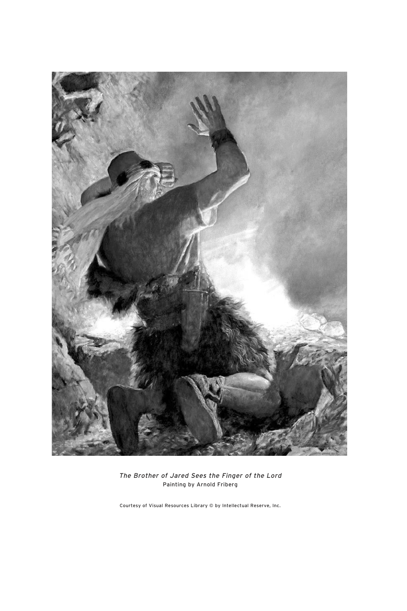

The Brother of Jared Sees the Finger of the Lord Painting by Arnold Friberg

Courtesy of Visual Resources Library © by Intellectual Reserve, Inc.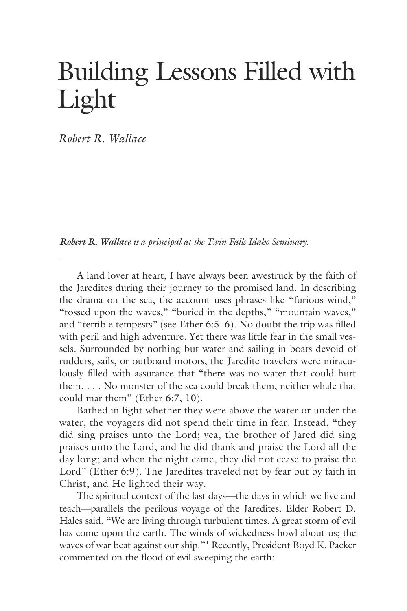# Building Lessons Filled with Light

*Robert R. Wallace*

*Robert R. Wallace is a principal at the Twin Falls Idaho Seminary.*

 A land lover at heart, I have always been awestruck by the faith of the Jaredites during their journey to the promised land. In describing the drama on the sea, the account uses phrases like "furious wind," "tossed upon the waves," "buried in the depths," "mountain waves," and "terrible tempests" (see Ether 6:5–6). No doubt the trip was filled with peril and high adventure. Yet there was little fear in the small vessels. Surrounded by nothing but water and sailing in boats devoid of rudders, sails, or outboard motors, the Jaredite travelers were miraculously filled with assurance that "there was no water that could hurt them. . . . No monster of the sea could break them, neither whale that could mar them" (Ether 6:7, 10).

 Bathed in light whether they were above the water or under the water, the voyagers did not spend their time in fear. Instead, "they did sing praises unto the Lord; yea, the brother of Jared did sing praises unto the Lord, and he did thank and praise the Lord all the day long; and when the night came, they did not cease to praise the Lord" (Ether 6:9). The Jaredites traveled not by fear but by faith in Christ, and He lighted their way.

 The spiritual context of the last days—the days in which we live and teach—parallels the perilous voyage of the Jaredites. Elder Robert D. Hales said, "We are living through turbulent times. A great storm of evil has come upon the earth. The winds of wickedness howl about us; the waves of war beat against our ship."<sup>1</sup> Recently, President Boyd K. Packer commented on the flood of evil sweeping the earth: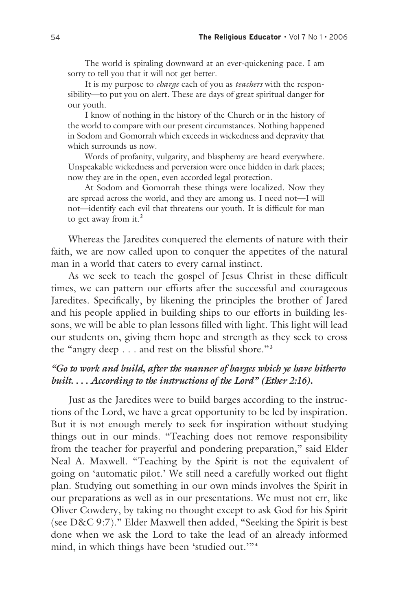The world is spiraling downward at an ever-quickening pace. I am sorry to tell you that it will not get better.

 It is my purpose to *charge* each of you as *teachers* with the responsibility—to put you on alert. These are days of great spiritual danger for our youth.

 I know of nothing in the history of the Church or in the history of the world to compare with our present circumstances. Nothing happened in Sodom and Gomorrah which exceeds in wickedness and depravity that which surrounds us now.

 Words of profanity, vulgarity, and blasphemy are heard everywhere. Unspeakable wickedness and perversion were once hidden in dark places; now they are in the open, even accorded legal protection.

 At Sodom and Gomorrah these things were localized. Now they are spread across the world, and they are among us. I need not—I will not—identify each evil that threatens our youth. It is difficult for man to get away from it.**<sup>2</sup>**

 Whereas the Jaredites conquered the elements of nature with their faith, we are now called upon to conquer the appetites of the natural man in a world that caters to every carnal instinct.

 As we seek to teach the gospel of Jesus Christ in these difficult times, we can pattern our efforts after the successful and courageous Jaredites. Specifically, by likening the principles the brother of Jared and his people applied in building ships to our efforts in building lessons, we will be able to plan lessons filled with light. This light will lead our students on, giving them hope and strength as they seek to cross the "angry deep . . . and rest on the blissful shore."**<sup>3</sup>**

## *"Go to work and build, after the manner of barges which ye have hitherto built. . . . According to the instructions of the Lord" (Ether 2:16)***.**

 Just as the Jaredites were to build barges according to the instructions of the Lord, we have a great opportunity to be led by inspiration. But it is not enough merely to seek for inspiration without studying things out in our minds. "Teaching does not remove responsibility from the teacher for prayerful and pondering preparation," said Elder Neal A. Maxwell. "Teaching by the Spirit is not the equivalent of going on 'automatic pilot.' We still need a carefully worked out flight plan. Studying out something in our own minds involves the Spirit in our preparations as well as in our presentations. We must not err, like Oliver Cowdery, by taking no thought except to ask God for his Spirit (see D&C 9:7)." Elder Maxwell then added, "Seeking the Spirit is best done when we ask the Lord to take the lead of an already informed mind, in which things have been 'studied out.'"**<sup>4</sup>**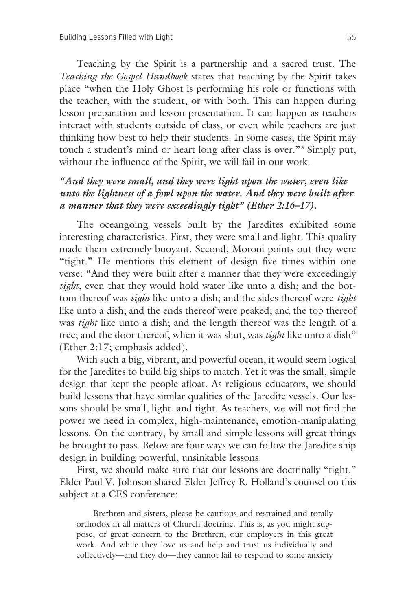Teaching by the Spirit is a partnership and a sacred trust. The *Teaching the Gospel Handbook* states that teaching by the Spirit takes place "when the Holy Ghost is performing his role or functions with the teacher, with the student, or with both. This can happen during lesson preparation and lesson presentation. It can happen as teachers interact with students outside of class, or even while teachers are just thinking how best to help their students. In some cases, the Spirit may touch a student's mind or heart long after class is over."**<sup>5</sup>** Simply put, without the influence of the Spirit, we will fail in our work.

## *"And they were small, and they were light upon the water, even like unto the lightness of a fowl upon the water. And they were built after a manner that they were exceedingly tight" (Ether 2:16–17).*

 The oceangoing vessels built by the Jaredites exhibited some interesting characteristics. First, they were small and light. This quality made them extremely buoyant. Second, Moroni points out they were "tight." He mentions this element of design five times within one verse: "And they were built after a manner that they were exceedingly *tight*, even that they would hold water like unto a dish; and the bottom thereof was *tight* like unto a dish; and the sides thereof were *tight* like unto a dish; and the ends thereof were peaked; and the top thereof was *tight* like unto a dish; and the length thereof was the length of a tree; and the door thereof, when it was shut, was *tight* like unto a dish" (Ether 2:17; emphasis added).

 With such a big, vibrant, and powerful ocean, it would seem logical for the Jaredites to build big ships to match. Yet it was the small, simple design that kept the people afloat. As religious educators, we should build lessons that have similar qualities of the Jaredite vessels. Our lessons should be small, light, and tight. As teachers, we will not find the power we need in complex, high-maintenance, emotion-manipulating lessons. On the contrary, by small and simple lessons will great things be brought to pass. Below are four ways we can follow the Jaredite ship design in building powerful, unsinkable lessons.

First, we should make sure that our lessons are doctrinally "tight." Elder Paul V. Johnson shared Elder Jeffrey R. Holland's counsel on this subject at a CES conference:

 Brethren and sisters, please be cautious and restrained and totally orthodox in all matters of Church doctrine. This is, as you might suppose, of great concern to the Brethren, our employers in this great work. And while they love us and help and trust us individually and collectively—and they do—they cannot fail to respond to some anxiety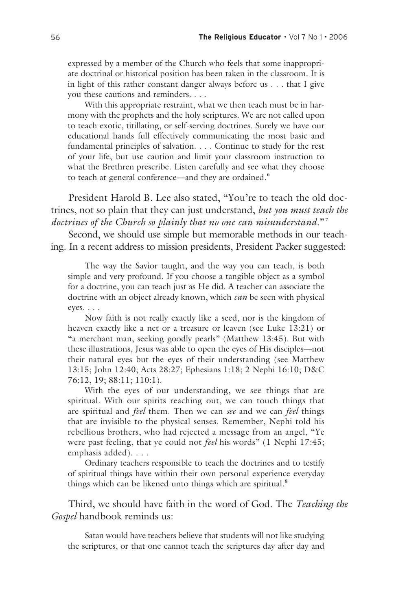expressed by a member of the Church who feels that some inappropriate doctrinal or historical position has been taken in the classroom. It is in light of this rather constant danger always before us . . . that I give you these cautions and reminders. . . .

 With this appropriate restraint, what we then teach must be in harmony with the prophets and the holy scriptures. We are not called upon to teach exotic, titillating, or self-serving doctrines. Surely we have our educational hands full effectively communicating the most basic and fundamental principles of salvation. . . . Continue to study for the rest of your life, but use caution and limit your classroom instruction to what the Brethren prescribe. Listen carefully and see what they choose to teach at general conference—and they are ordained.**<sup>6</sup>**

 President Harold B. Lee also stated, "You're to teach the old doctrines, not so plain that they can just understand, *but you must teach the doctrines of the Church so plainly that no one can misunderstand*."**<sup>7</sup>**

 Second, we should use simple but memorable methods in our teaching. In a recent address to mission presidents, President Packer suggested:

 The way the Savior taught, and the way you can teach, is both simple and very profound. If you choose a tangible object as a symbol for a doctrine, you can teach just as He did. A teacher can associate the doctrine with an object already known, which *can* be seen with physical eyes. . . .

 Now faith is not really exactly like a seed, nor is the kingdom of heaven exactly like a net or a treasure or leaven (see Luke 13:21) or "a merchant man, seeking goodly pearls" (Matthew 13:45). But with these illustrations, Jesus was able to open the eyes of His disciples—not their natural eyes but the eyes of their understanding (see Matthew 13:15; John 12:40; Acts 28:27; Ephesians 1:18; 2 Nephi 16:10; D&C 76:12, 19; 88:11; 110:1).

 With the eyes of our understanding, we see things that are spiritual. With our spirits reaching out, we can touch things that are spiritual and *feel* them. Then we can *see* and we can *feel* things that are invisible to the physical senses. Remember, Nephi told his rebellious brothers, who had rejected a message from an angel, "Ye were past feeling, that ye could not *feel* his words" (1 Nephi 17:45; emphasis added). . . .

 Ordinary teachers responsible to teach the doctrines and to testify of spiritual things have within their own personal experience everyday things which can be likened unto things which are spiritual.**<sup>8</sup>**

 Third, we should have faith in the word of God. The *Teaching the Gospel* handbook reminds us:

 Satan would have teachers believe that students will not like studying the scriptures, or that one cannot teach the scriptures day after day and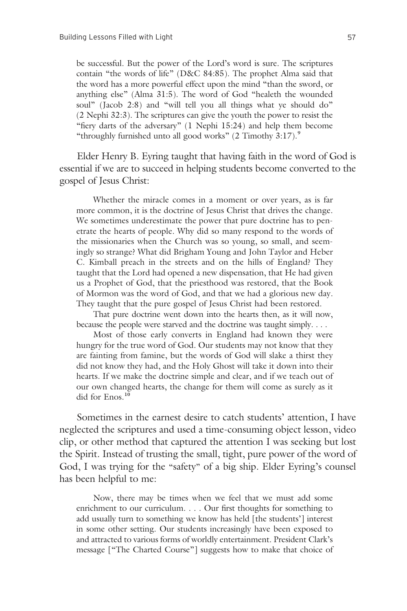be successful. But the power of the Lord's word is sure. The scriptures contain "the words of life" (D&C 84:85). The prophet Alma said that the word has a more powerful effect upon the mind "than the sword, or anything else" (Alma 31:5). The word of God "healeth the wounded soul" (Jacob 2:8) and "will tell you all things what ye should do" (2 Nephi 32:3). The scriptures can give the youth the power to resist the "fiery darts of the adversary" (1 Nephi 15:24) and help them become "throughly furnished unto all good works" (2 Timothy 3:17).**<sup>9</sup>**

 Elder Henry B. Eyring taught that having faith in the word of God is essential if we are to succeed in helping students become converted to the gospel of Jesus Christ:

 Whether the miracle comes in a moment or over years, as is far more common, it is the doctrine of Jesus Christ that drives the change. We sometimes underestimate the power that pure doctrine has to penetrate the hearts of people. Why did so many respond to the words of the missionaries when the Church was so young, so small, and seemingly so strange? What did Brigham Young and John Taylor and Heber C. Kimball preach in the streets and on the hills of England? They taught that the Lord had opened a new dispensation, that He had given us a Prophet of God, that the priesthood was restored, that the Book of Mormon was the word of God, and that we had a glorious new day. They taught that the pure gospel of Jesus Christ had been restored.

 That pure doctrine went down into the hearts then, as it will now, because the people were starved and the doctrine was taught simply. . . .

 Most of those early converts in England had known they were hungry for the true word of God. Our students may not know that they are fainting from famine, but the words of God will slake a thirst they did not know they had, and the Holy Ghost will take it down into their hearts. If we make the doctrine simple and clear, and if we teach out of our own changed hearts, the change for them will come as surely as it did for Enos.**<sup>10</sup>**

 Sometimes in the earnest desire to catch students' attention, I have neglected the scriptures and used a time-consuming object lesson, video clip, or other method that captured the attention I was seeking but lost the Spirit. Instead of trusting the small, tight, pure power of the word of God, I was trying for the "safety" of a big ship. Elder Eyring's counsel has been helpful to me:

 Now, there may be times when we feel that we must add some enrichment to our curriculum. . . . Our first thoughts for something to add usually turn to something we know has held [the students'] interest in some other setting. Our students increasingly have been exposed to and attracted to various forms of worldly entertainment. President Clark's message ["The Charted Course"] suggests how to make that choice of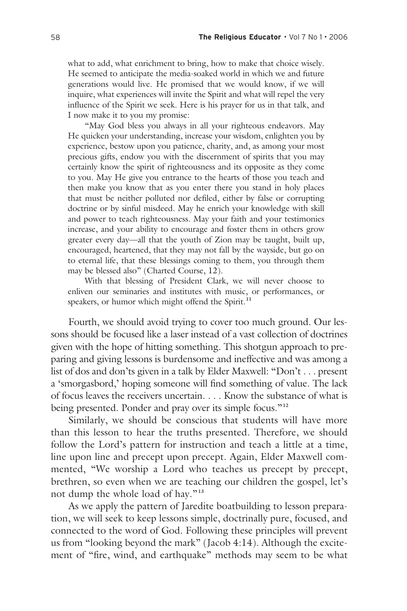what to add, what enrichment to bring, how to make that choice wisely. He seemed to anticipate the media-soaked world in which we and future generations would live. He promised that we would know, if we will inquire, what experiences will invite the Spirit and what will repel the very influence of the Spirit we seek. Here is his prayer for us in that talk, and I now make it to you my promise:

 "May God bless you always in all your righteous endeavors. May He quicken your understanding, increase your wisdom, enlighten you by experience, bestow upon you patience, charity, and, as among your most precious gifts, endow you with the discernment of spirits that you may certainly know the spirit of righteousness and its opposite as they come to you. May He give you entrance to the hearts of those you teach and then make you know that as you enter there you stand in holy places that must be neither polluted nor defiled, either by false or corrupting doctrine or by sinful misdeed. May he enrich your knowledge with skill and power to teach righteousness. May your faith and your testimonies increase, and your ability to encourage and foster them in others grow greater every day—all that the youth of Zion may be taught, built up, encouraged, heartened, that they may not fall by the wayside, but go on to eternal life, that these blessings coming to them, you through them may be blessed also" (Charted Course, 12).

 With that blessing of President Clark, we will never choose to enliven our seminaries and institutes with music, or performances, or speakers, or humor which might offend the Spirit.**<sup>11</sup>**

 Fourth, we should avoid trying to cover too much ground. Our lessons should be focused like a laser instead of a vast collection of doctrines given with the hope of hitting something. This shotgun approach to preparing and giving lessons is burdensome and ineffective and was among a list of dos and don'ts given in a talk by Elder Maxwell: "Don't . . . present a 'smorgasbord,' hoping someone will find something of value. The lack of focus leaves the receivers uncertain. . . . Know the substance of what is being presented. Ponder and pray over its simple focus."**<sup>12</sup>**

 Similarly, we should be conscious that students will have more than this lesson to hear the truths presented. Therefore, we should follow the Lord's pattern for instruction and teach a little at a time, line upon line and precept upon precept. Again, Elder Maxwell commented, "We worship a Lord who teaches us precept by precept, brethren, so even when we are teaching our children the gospel, let's not dump the whole load of hay." **<sup>13</sup>**

 As we apply the pattern of Jaredite boatbuilding to lesson preparation, we will seek to keep lessons simple, doctrinally pure, focused, and connected to the word of God. Following these principles will prevent us from "looking beyond the mark" (Jacob 4:14). Although the excitement of "fire, wind, and earthquake" methods may seem to be what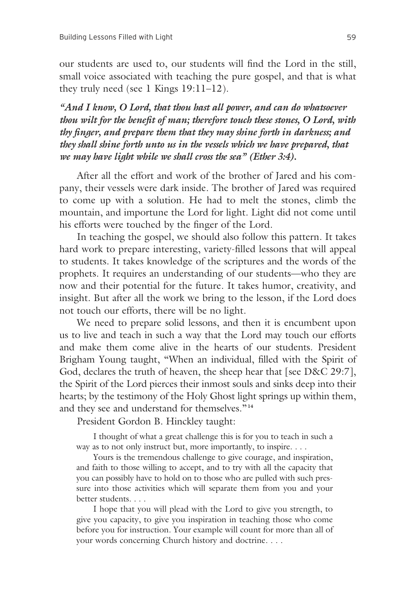our students are used to, our students will find the Lord in the still, small voice associated with teaching the pure gospel, and that is what they truly need (see 1 Kings 19:11–12).

*"And I know, O Lord, that thou hast all power, and can do whatsoever thou wilt for the benefit of man; therefore touch these stones, O Lord, with thy finger, and prepare them that they may shine forth in darkness; and they shall shine forth unto us in the vessels which we have prepared, that we may have light while we shall cross the sea" (Ether 3:4).*

 After all the effort and work of the brother of Jared and his company, their vessels were dark inside. The brother of Jared was required to come up with a solution. He had to melt the stones, climb the mountain, and importune the Lord for light. Light did not come until his efforts were touched by the finger of the Lord.

 In teaching the gospel, we should also follow this pattern. It takes hard work to prepare interesting, variety-filled lessons that will appeal to students. It takes knowledge of the scriptures and the words of the prophets. It requires an understanding of our students—who they are now and their potential for the future. It takes humor, creativity, and insight. But after all the work we bring to the lesson, if the Lord does not touch our efforts, there will be no light.

 We need to prepare solid lessons, and then it is encumbent upon us to live and teach in such a way that the Lord may touch our efforts and make them come alive in the hearts of our students. President Brigham Young taught, "When an individual, filled with the Spirit of God, declares the truth of heaven, the sheep hear that [see D&C 29:7], the Spirit of the Lord pierces their inmost souls and sinks deep into their hearts; by the testimony of the Holy Ghost light springs up within them, and they see and understand for themselves."**<sup>14</sup>**

President Gordon B. Hinckley taught:

 I thought of what a great challenge this is for you to teach in such a way as to not only instruct but, more importantly, to inspire. . . .

 Yours is the tremendous challenge to give courage, and inspiration, and faith to those willing to accept, and to try with all the capacity that you can possibly have to hold on to those who are pulled with such pressure into those activities which will separate them from you and your better students. . . .

 I hope that you will plead with the Lord to give you strength, to give you capacity, to give you inspiration in teaching those who come before you for instruction. Your example will count for more than all of your words concerning Church history and doctrine. . . .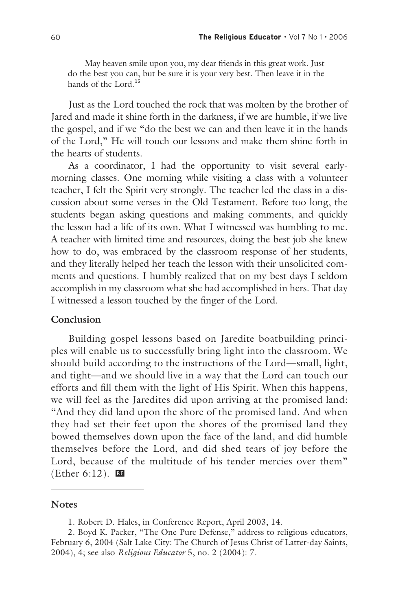May heaven smile upon you, my dear friends in this great work. Just do the best you can, but be sure it is your very best. Then leave it in the hands of the Lord.**<sup>15</sup>**

 Just as the Lord touched the rock that was molten by the brother of Jared and made it shine forth in the darkness, if we are humble, if we live the gospel, and if we "do the best we can and then leave it in the hands of the Lord," He will touch our lessons and make them shine forth in the hearts of students.

 As a coordinator, I had the opportunity to visit several earlymorning classes. One morning while visiting a class with a volunteer teacher, I felt the Spirit very strongly. The teacher led the class in a discussion about some verses in the Old Testament. Before too long, the students began asking questions and making comments, and quickly the lesson had a life of its own. What I witnessed was humbling to me. A teacher with limited time and resources, doing the best job she knew how to do, was embraced by the classroom response of her students, and they literally helped her teach the lesson with their unsolicited comments and questions. I humbly realized that on my best days I seldom accomplish in my classroom what she had accomplished in hers. That day I witnessed a lesson touched by the finger of the Lord.

#### **Conclusion**

 Building gospel lessons based on Jaredite boatbuilding principles will enable us to successfully bring light into the classroom. We should build according to the instructions of the Lord—small, light, and tight—and we should live in a way that the Lord can touch our efforts and fill them with the light of His Spirit. When this happens, we will feel as the Jaredites did upon arriving at the promised land: "And they did land upon the shore of the promised land. And when they had set their feet upon the shores of the promised land they bowed themselves down upon the face of the land, and did humble themselves before the Lord, and did shed tears of joy before the Lord, because of the multitude of his tender mercies over them" (Ether 6:12).  $\mathbb{E}$ 

#### **Notes**

<sup>1.</sup> Robert D. Hales, in Conference Report, April 2003, 14.

<sup>2.</sup> Boyd K. Packer, "The One Pure Defense," address to religious educators, February 6, 2004 (Salt Lake City: The Church of Jesus Christ of Latter-day Saints, 2004), 4; see also *Religious Educator* 5, no. 2 (2004): 7.